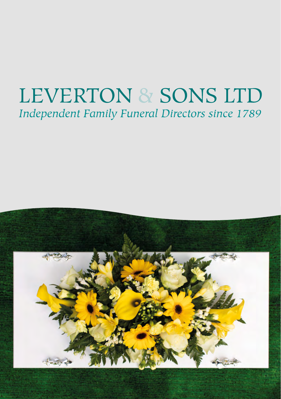# **LEVERTON & SONS LTD** Independent Family Funeral Directors since 1789

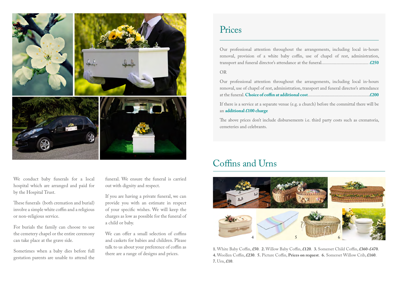

We conduct baby funerals for a local hospital which are arranged and paid for by the Hospital Trust.

These funerals (both cremation and burial) involve a simple white coffin and a religious or non-religious service.

For burials the family can choose to use the cemetery chapel or the entire ceremony can take place at the grave side.

Sometimes when a baby dies before full gestation parents are unable to attend the funeral. We ensure the funeral is carried out with dignity and respect.

If you are having a private funeral, we can provide you with an estimate in respect of your specific wishes. We will keep the charges as low as possible for the funeral of a child or baby.

We can offer a small selection of coffins and caskets for babies and children. Please talk to us about your preference of coffin as there are a range of designs and prices.

#### Prices

Our professional attention throughout the arrangements, including local in-hours removal, provision of a white baby coffin, use of chapel of rest, administration, transport and funeral director's attendance at the funeral......................................... **£250**

#### OR

Our professional attention throughout the arrangements, including local in-hours removal, use of chapel of rest, administration, transport and funeral director's attendance at the funeral. **Choice of coffin at additional cost**......................................................**£200**

If there is a service at a separate venue (e.g. a church) before the committal there will be an **additional £100 charge**

The above prices don't include disbursements i.e. third party costs such as crematoria, cemeteries and celebrants.

### Coffins and Urns



**1.** White Baby Coffin, **£50**. **2.** Willow Baby Coffin, **£120**. **3.** Somerset Child Coffin, **£360-£470**. **4.** Woollen Coffin, **£230**. **5.** Picture Coffin, **Prices on request**. **6.** Somerset Willow Crib, **£160**. **7.** Urn, **£10**.